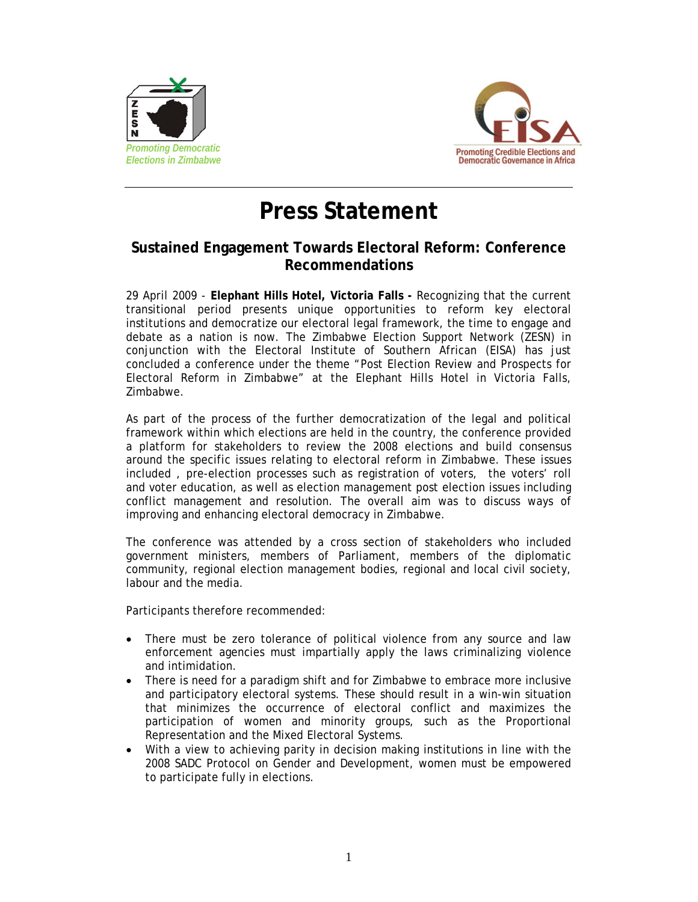



## **Press Statement**

## **Sustained Engagement Towards Electoral Reform: Conference Recommendations**

29 April 2009 - **Elephant Hills Hotel, Victoria Falls -** Recognizing that the current transitional period presents unique opportunities to reform key electoral institutions and democratize our electoral legal framework, the time to engage and debate as a nation is now. The Zimbabwe Election Support Network (ZESN) in conjunction with the Electoral Institute of Southern African (EISA) has just concluded a conference under the theme "Post Election Review and Prospects for Electoral Reform in Zimbabwe" at the Elephant Hills Hotel in Victoria Falls, Zimbabwe.

As part of the process of the further democratization of the legal and political framework within which elections are held in the country, the conference provided a platform for stakeholders to review the 2008 elections and build consensus around the specific issues relating to electoral reform in Zimbabwe. These issues included , pre-election processes such as registration of voters, the voters' roll and voter education, as well as election management post election issues including conflict management and resolution. The overall aim was to discuss ways of improving and enhancing electoral democracy in Zimbabwe.

The conference was attended by a cross section of stakeholders who included government ministers, members of Parliament, members of the diplomatic community, regional election management bodies, regional and local civil society, labour and the media.

Participants therefore recommended:

- There must be zero tolerance of political violence from any source and law enforcement agencies must impartially apply the laws criminalizing violence and intimidation.
- There is need for a paradigm shift and for Zimbabwe to embrace more inclusive and participatory electoral systems. These should result in a win-win situation that minimizes the occurrence of electoral conflict and maximizes the participation of women and minority groups, such as the Proportional Representation and the Mixed Electoral Systems.
- With a view to achieving parity in decision making institutions in line with the 2008 SADC Protocol on Gender and Development, women must be empowered to participate fully in elections.